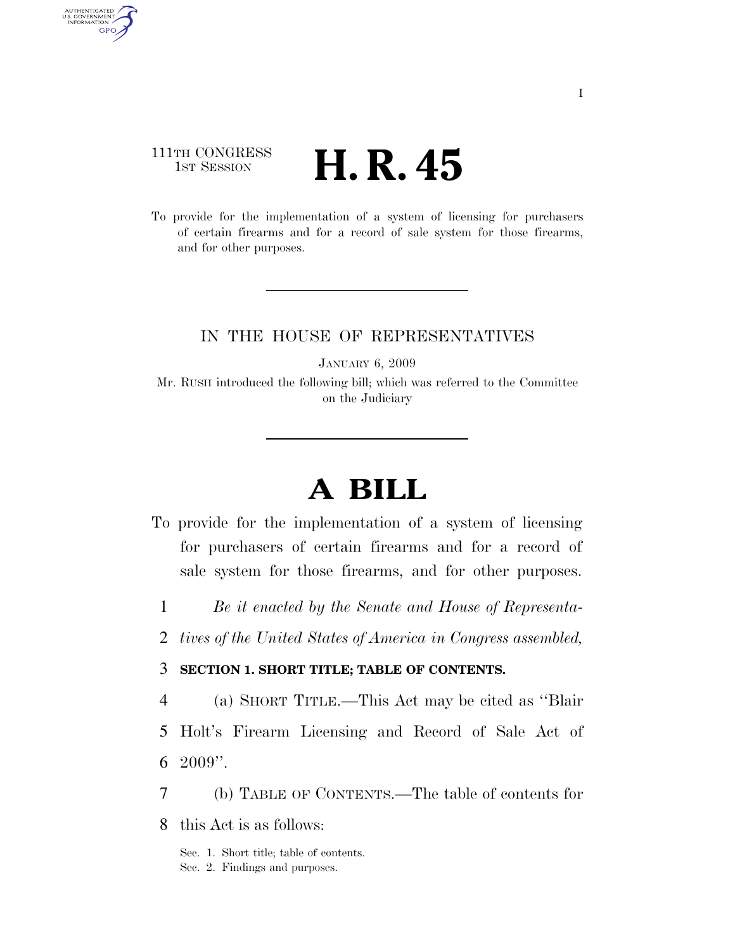## 111TH CONGRESS  $\frac{1}{1}$ ST SESSION **H. R. 45**

AUTHENTICATED<br>U.S. GOVERNMENT<br>INFORMATION GPO

> To provide for the implementation of a system of licensing for purchasers of certain firearms and for a record of sale system for those firearms, and for other purposes.

### IN THE HOUSE OF REPRESENTATIVES

JANUARY 6, 2009

Mr. RUSH introduced the following bill; which was referred to the Committee on the Judiciary

# **A BILL**

- To provide for the implementation of a system of licensing for purchasers of certain firearms and for a record of sale system for those firearms, and for other purposes.
	- 1 *Be it enacted by the Senate and House of Representa-*
	- 2 *tives of the United States of America in Congress assembled,*

### 3 **SECTION 1. SHORT TITLE; TABLE OF CONTENTS.**

4 (a) SHORT TITLE.—This Act may be cited as ''Blair

- 5 Holt's Firearm Licensing and Record of Sale Act of 6 2009''.
- 7 (b) TABLE OF CONTENTS.—The table of contents for
- 8 this Act is as follows:

Sec. 1. Short title; table of contents.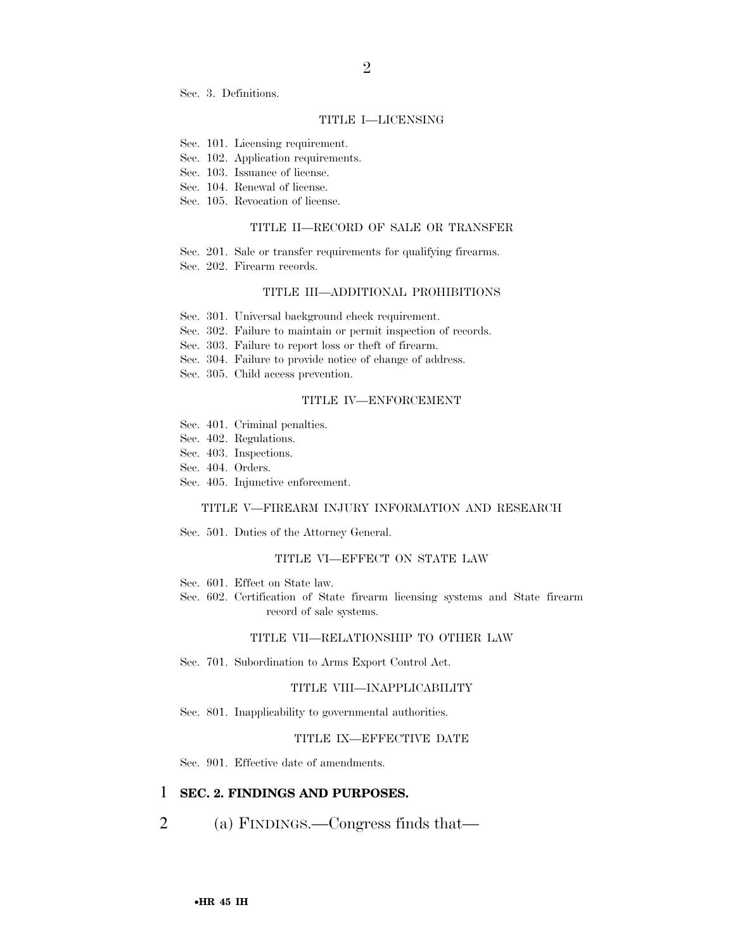Sec. 3. Definitions.

### TITLE I—LICENSING

2

- Sec. 101. Licensing requirement.
- Sec. 102. Application requirements.
- Sec. 103. Issuance of license.
- Sec. 104. Renewal of license.
- Sec. 105. Revocation of license.

#### TITLE II—RECORD OF SALE OR TRANSFER

- Sec. 201. Sale or transfer requirements for qualifying firearms.
- Sec. 202. Firearm records.

#### TITLE III—ADDITIONAL PROHIBITIONS

- Sec. 301. Universal background check requirement.
- Sec. 302. Failure to maintain or permit inspection of records.
- Sec. 303. Failure to report loss or theft of firearm.
- Sec. 304. Failure to provide notice of change of address.
- Sec. 305. Child access prevention.

#### TITLE IV—ENFORCEMENT

- Sec. 401. Criminal penalties.
- Sec. 402. Regulations.
- Sec. 403. Inspections.
- Sec. 404. Orders.
- Sec. 405. Injunctive enforcement.

### TITLE V—FIREARM INJURY INFORMATION AND RESEARCH

Sec. 501. Duties of the Attorney General.

### TITLE VI—EFFECT ON STATE LAW

- Sec. 601. Effect on State law.
- Sec. 602. Certification of State firearm licensing systems and State firearm record of sale systems.

### TITLE VII—RELATIONSHIP TO OTHER LAW

Sec. 701. Subordination to Arms Export Control Act.

#### TITLE VIII—INAPPLICABILITY

Sec. 801. Inapplicability to governmental authorities.

#### TITLE IX—EFFECTIVE DATE

Sec. 901. Effective date of amendments.

### 1 **SEC. 2. FINDINGS AND PURPOSES.**

2 (a) FINDINGS.—Congress finds that—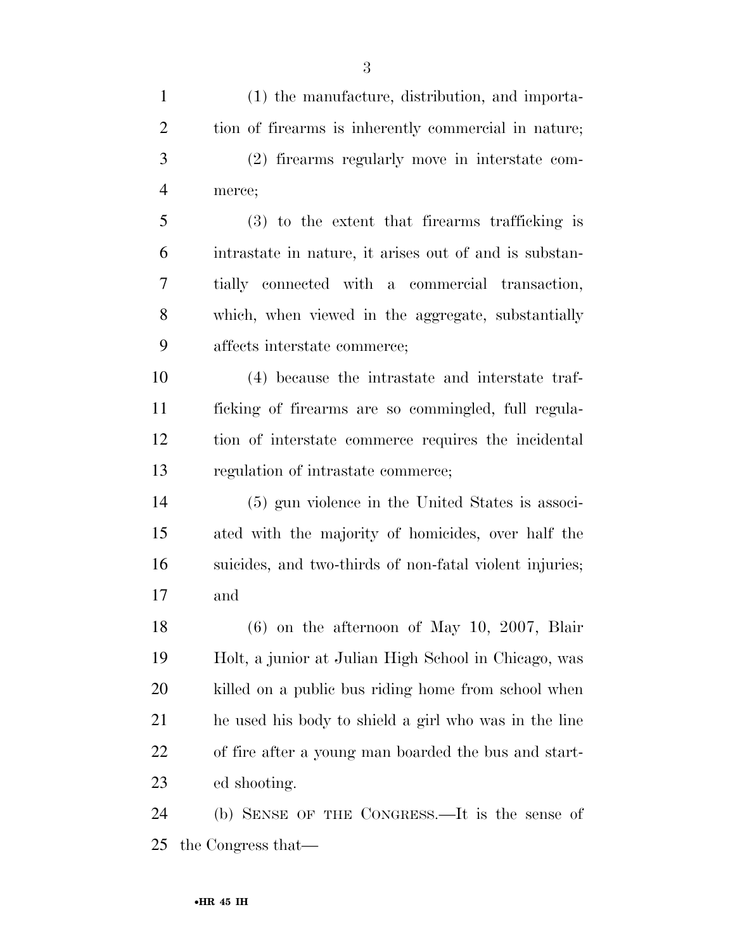(1) the manufacture, distribution, and importa- tion of firearms is inherently commercial in nature; (2) firearms regularly move in interstate com- merce; (3) to the extent that firearms trafficking is intrastate in nature, it arises out of and is substan- tially connected with a commercial transaction, which, when viewed in the aggregate, substantially affects interstate commerce; (4) because the intrastate and interstate traf- ficking of firearms are so commingled, full regula- tion of interstate commerce requires the incidental regulation of intrastate commerce; (5) gun violence in the United States is associ- ated with the majority of homicides, over half the suicides, and two-thirds of non-fatal violent injuries; and (6) on the afternoon of May 10, 2007, Blair Holt, a junior at Julian High School in Chicago, was killed on a public bus riding home from school when he used his body to shield a girl who was in the line of fire after a young man boarded the bus and start-

ed shooting.

 (b) SENSE OF THE CONGRESS.—It is the sense of the Congress that—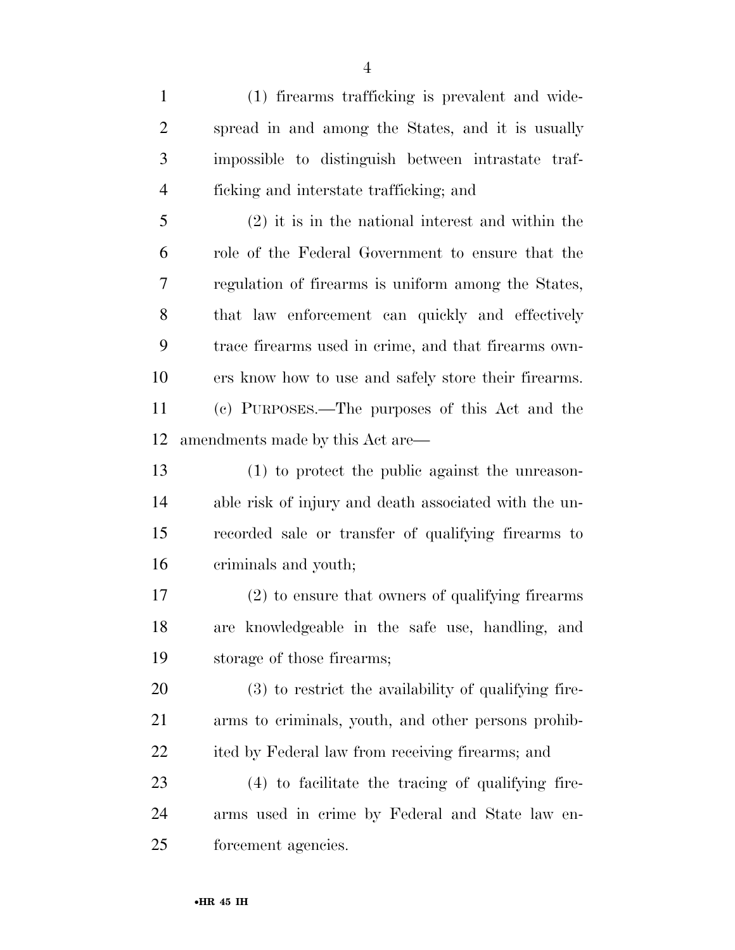(1) firearms trafficking is prevalent and wide- spread in and among the States, and it is usually impossible to distinguish between intrastate traf-ficking and interstate trafficking; and

 (2) it is in the national interest and within the role of the Federal Government to ensure that the regulation of firearms is uniform among the States, 8 that law enforcement can quickly and effectively trace firearms used in crime, and that firearms own- ers know how to use and safely store their firearms. (c) PURPOSES.—The purposes of this Act and the amendments made by this Act are—

 (1) to protect the public against the unreason- able risk of injury and death associated with the un- recorded sale or transfer of qualifying firearms to criminals and youth;

 (2) to ensure that owners of qualifying firearms are knowledgeable in the safe use, handling, and storage of those firearms;

 (3) to restrict the availability of qualifying fire- arms to criminals, youth, and other persons prohib-ited by Federal law from receiving firearms; and

 (4) to facilitate the tracing of qualifying fire- arms used in crime by Federal and State law en-forcement agencies.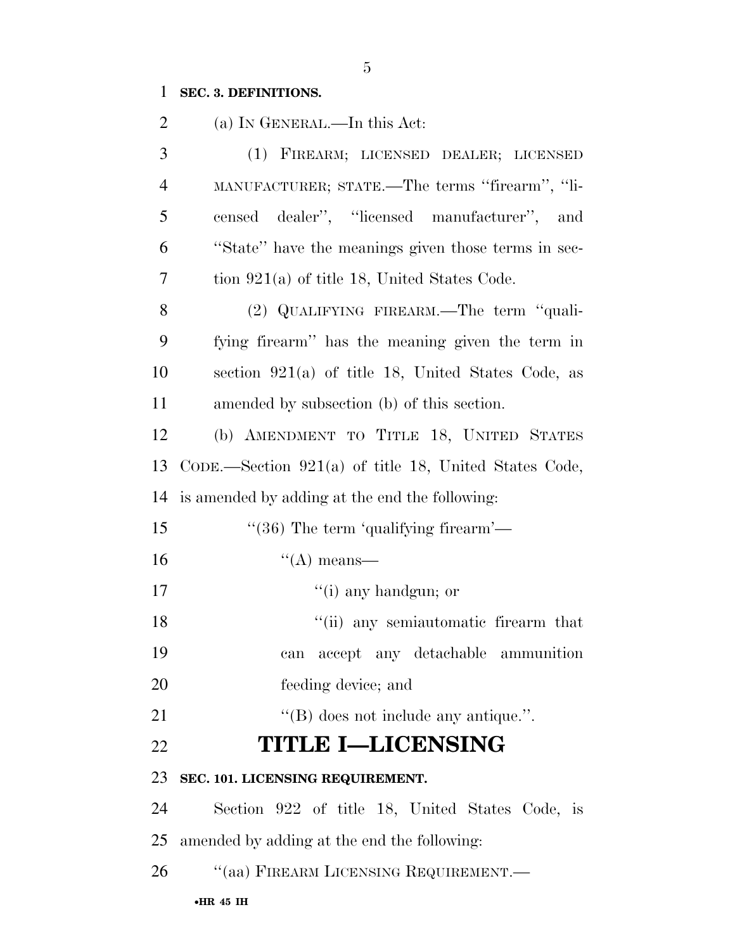## **SEC. 3. DEFINITIONS.**

| $\overline{2}$ | (a) IN GENERAL.—In this Act:                            |
|----------------|---------------------------------------------------------|
| 3              | (1) FIREARM; LICENSED DEALER; LICENSED                  |
| $\overline{4}$ | MANUFACTURER; STATE.—The terms "firearm", "li-          |
| 5              | censed dealer", "licensed manufacturer",<br>and         |
| 6              | "State" have the meanings given those terms in sec-     |
| 7              | tion $921(a)$ of title 18, United States Code.          |
| 8              | (2) QUALIFYING FIREARM.—The term "quali-                |
| 9              | fying firearm" has the meaning given the term in        |
| 10             | section $921(a)$ of title 18, United States Code, as    |
| 11             | amended by subsection (b) of this section.              |
| 12             | (b) AMENDMENT TO TITLE 18, UNITED STATES                |
| 13             | CODE.—Section $921(a)$ of title 18, United States Code, |
| 14             | is amended by adding at the end the following:          |
| 15             | " $(36)$ The term 'qualifying firearm'—                 |
| 16             | $\lq\lq$ means—                                         |
| 17             | $\lq\lq$ (i) any handgun; or                            |
| 18             | "(ii) any semiautomatic firearm that                    |
| 19             | can accept any detachable ammunition                    |
| 20             | feeding device; and                                     |
| 21             | $\lq\lq$ does not include any antique.".                |
| 22             | <b>TITLE I-LICENSING</b>                                |
| 23             | SEC. 101. LICENSING REQUIREMENT.                        |
| 24             | Section 922 of title 18, United States Code, is         |
| 25             | amended by adding at the end the following:             |
| 26             | "(aa) FIREARM LICENSING REQUIREMENT.—                   |
|                | $\bullet$ HR 45 IH                                      |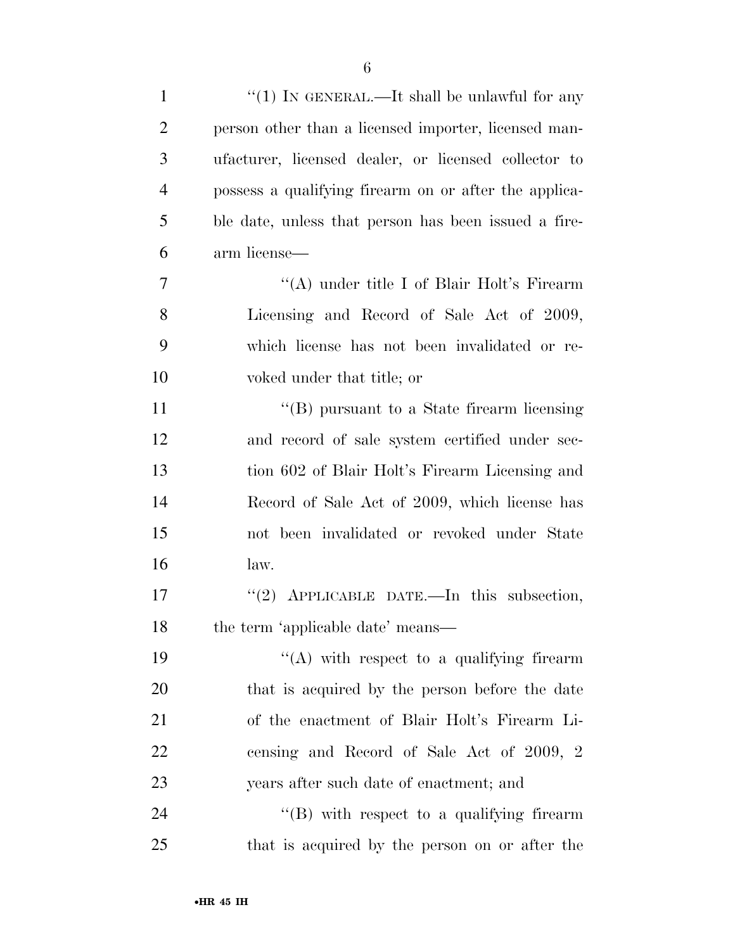| $\mathbf{1}$   | " $(1)$ IN GENERAL.—It shall be unlawful for any      |
|----------------|-------------------------------------------------------|
| $\overline{2}$ | person other than a licensed importer, licensed man-  |
| 3              | ufacturer, licensed dealer, or licensed collector to  |
| $\overline{4}$ | possess a qualifying firearm on or after the applica- |
| 5              | ble date, unless that person has been issued a fire-  |
| 6              | arm license—                                          |
| 7              | "(A) under title I of Blair Holt's Firearm            |
| 8              | Licensing and Record of Sale Act of 2009,             |
| 9              | which license has not been invalidated or re-         |
| 10             | voked under that title; or                            |
| 11             | $\lq\lq$ (B) pursuant to a State firearm licensing    |
| 12             | and record of sale system certified under sec-        |
| 13             | tion 602 of Blair Holt's Firearm Licensing and        |
| 14             | Record of Sale Act of 2009, which license has         |
| 15             | not been invalidated or revoked under State           |
| 16             | law.                                                  |
| 17             | "(2) APPLICABLE DATE.—In this subsection,             |
| 18             | the term 'applicable date' means—                     |
| 19             | "(A) with respect to a qualifying firearm             |
| 20             | that is acquired by the person before the date        |
| 21             | of the enactment of Blair Holt's Firearm Li-          |
| 22             | censing and Record of Sale Act of 2009, 2             |
| 23             | years after such date of enactment; and               |
| 24             | "(B) with respect to a qualifying firearm             |
| 25             | that is acquired by the person on or after the        |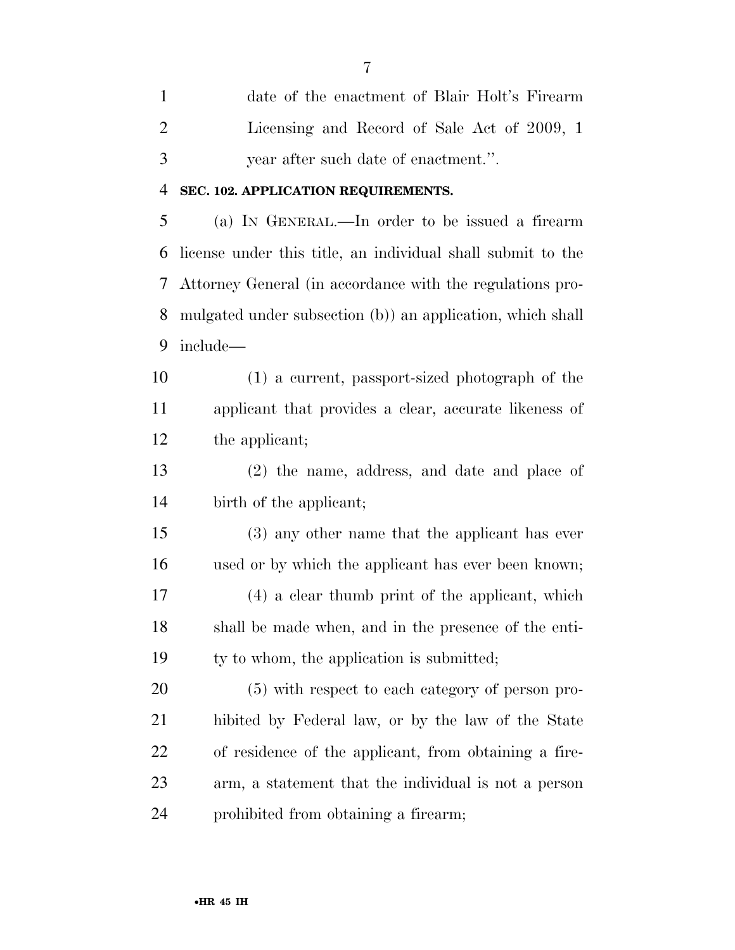date of the enactment of Blair Holt's Firearm Licensing and Record of Sale Act of 2009, 1 year after such date of enactment.''.

### **SEC. 102. APPLICATION REQUIREMENTS.**

 (a) IN GENERAL.—In order to be issued a firearm license under this title, an individual shall submit to the Attorney General (in accordance with the regulations pro- mulgated under subsection (b)) an application, which shall include—

 (1) a current, passport-sized photograph of the applicant that provides a clear, accurate likeness of the applicant;

 (2) the name, address, and date and place of birth of the applicant;

 (3) any other name that the applicant has ever used or by which the applicant has ever been known; (4) a clear thumb print of the applicant, which shall be made when, and in the presence of the enti-19 ty to whom, the application is submitted;

 (5) with respect to each category of person pro- hibited by Federal law, or by the law of the State of residence of the applicant, from obtaining a fire- arm, a statement that the individual is not a person prohibited from obtaining a firearm;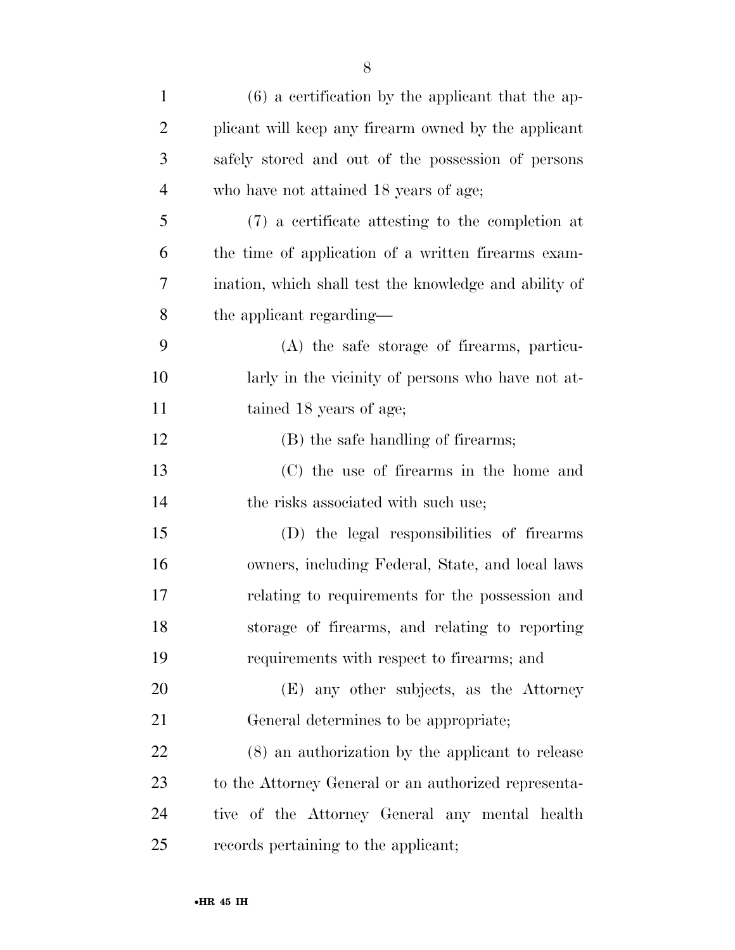| $\mathbf{1}$   | $(6)$ a certification by the applicant that the ap-    |
|----------------|--------------------------------------------------------|
| $\overline{2}$ | plicant will keep any firearm owned by the applicant   |
| 3              | safely stored and out of the possession of persons     |
| $\overline{4}$ | who have not attained 18 years of age;                 |
| 5              | (7) a certificate attesting to the completion at       |
| 6              | the time of application of a written firearms exam-    |
| 7              | ination, which shall test the knowledge and ability of |
| 8              | the applicant regarding—                               |
| 9              | (A) the safe storage of firearms, particu-             |
| 10             | larly in the vicinity of persons who have not at-      |
| 11             | tained 18 years of age;                                |
| 12             | (B) the safe handling of firearms;                     |
| 13             | (C) the use of firearms in the home and                |
| 14             | the risks associated with such use;                    |
| 15             | (D) the legal responsibilities of firearms             |
| 16             | owners, including Federal, State, and local laws       |
| 17             | relating to requirements for the possession and        |
| 18             | storage of firearms, and relating to reporting         |
| 19             | requirements with respect to firearms; and             |
| 20             | (E) any other subjects, as the Attorney                |
| 21             | General determines to be appropriate;                  |
| 22             | (8) an authorization by the applicant to release       |
| 23             | to the Attorney General or an authorized representa-   |
| 24             | tive of the Attorney General any mental health         |
| 25             | records pertaining to the applicant;                   |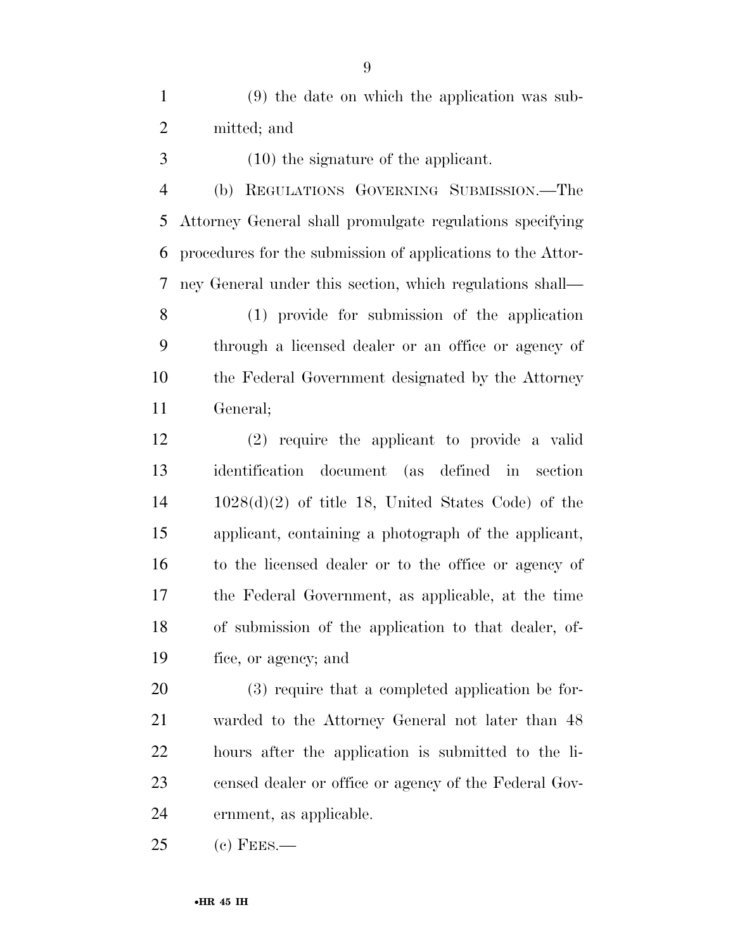(9) the date on which the application was sub-mitted; and

(10) the signature of the applicant.

 (b) REGULATIONS GOVERNING SUBMISSION.—The Attorney General shall promulgate regulations specifying procedures for the submission of applications to the Attor-ney General under this section, which regulations shall—

 (1) provide for submission of the application through a licensed dealer or an office or agency of the Federal Government designated by the Attorney General;

 (2) require the applicant to provide a valid identification document (as defined in section 1028(d)(2) of title 18, United States Code) of the applicant, containing a photograph of the applicant, to the licensed dealer or to the office or agency of the Federal Government, as applicable, at the time of submission of the application to that dealer, of-fice, or agency; and

 (3) require that a completed application be for- warded to the Attorney General not later than 48 hours after the application is submitted to the li- censed dealer or office or agency of the Federal Gov-ernment, as applicable.

(c) FEES.—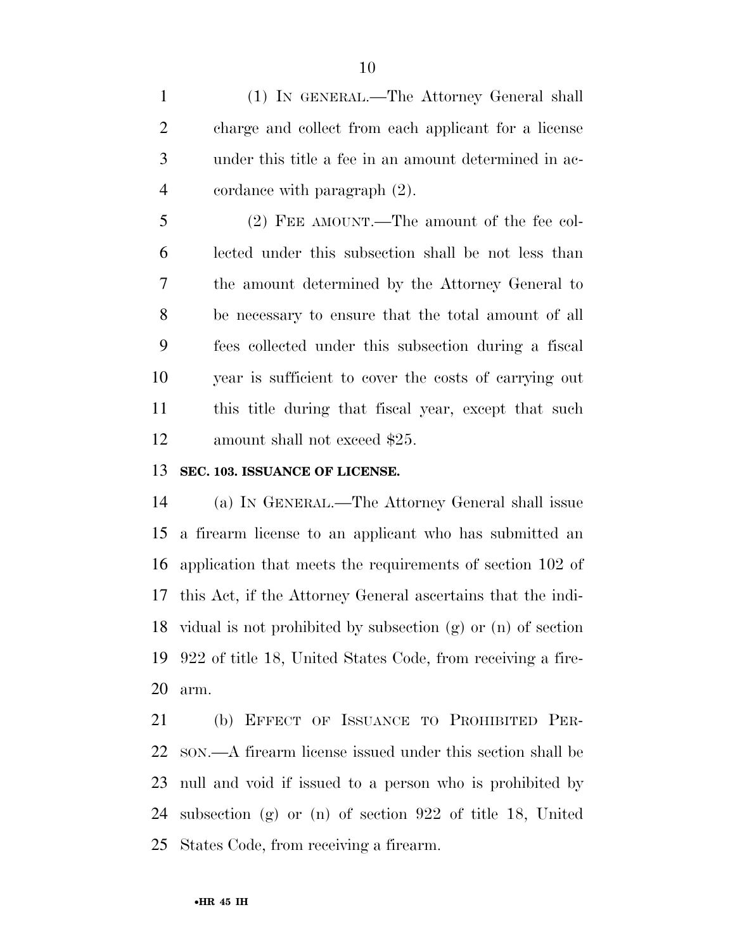(1) IN GENERAL.—The Attorney General shall charge and collect from each applicant for a license under this title a fee in an amount determined in ac-cordance with paragraph (2).

 (2) FEE AMOUNT.—The amount of the fee col- lected under this subsection shall be not less than the amount determined by the Attorney General to be necessary to ensure that the total amount of all fees collected under this subsection during a fiscal year is sufficient to cover the costs of carrying out this title during that fiscal year, except that such 12 amount shall not exceed \$25.

### **SEC. 103. ISSUANCE OF LICENSE.**

 (a) IN GENERAL.—The Attorney General shall issue a firearm license to an applicant who has submitted an application that meets the requirements of section 102 of this Act, if the Attorney General ascertains that the indi- vidual is not prohibited by subsection (g) or (n) of section 922 of title 18, United States Code, from receiving a fire-arm.

 (b) EFFECT OF ISSUANCE TO PROHIBITED PER- SON.—A firearm license issued under this section shall be null and void if issued to a person who is prohibited by subsection (g) or (n) of section 922 of title 18, United States Code, from receiving a firearm.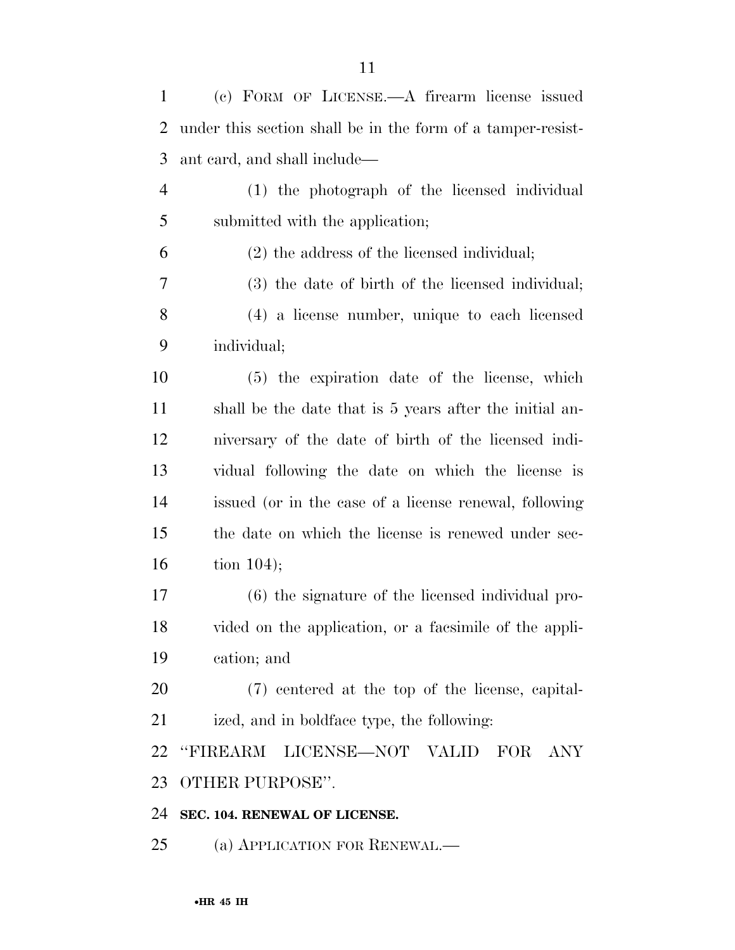| $\mathbf{1}$   | (c) FORM OF LICENSE.—A firearm license issued               |
|----------------|-------------------------------------------------------------|
| $\overline{2}$ | under this section shall be in the form of a tamper-resist- |
| 3              | ant card, and shall include—                                |
| $\overline{4}$ | (1) the photograph of the licensed individual               |
| 5              | submitted with the application;                             |
| 6              | (2) the address of the licensed individual;                 |
| 7              | (3) the date of birth of the licensed individual;           |
| 8              | (4) a license number, unique to each licensed               |
| 9              | individual;                                                 |
| 10             | (5) the expiration date of the license, which               |
| 11             | shall be the date that is 5 years after the initial an-     |
| 12             | niversary of the date of birth of the licensed indi-        |
| 13             | vidual following the date on which the license is           |
| 14             | issued (or in the case of a license renewal, following      |
| 15             | the date on which the license is renewed under sec-         |
| 16             | tion $104$ ;                                                |
| 17             | (6) the signature of the licensed individual pro-           |
| 18             | vided on the application, or a facsimile of the appli-      |
| 19             | cation; and                                                 |
| 20             | (7) centered at the top of the license, capital-            |
| 21             | ized, and in boldface type, the following:                  |
| 22             | "FIREARM LICENSE-NOT VALID<br>FOR<br>ANY                    |
| 23             | OTHER PURPOSE".                                             |
| 24             | SEC. 104. RENEWAL OF LICENSE.                               |

(a) APPLICATION FOR RENEWAL.—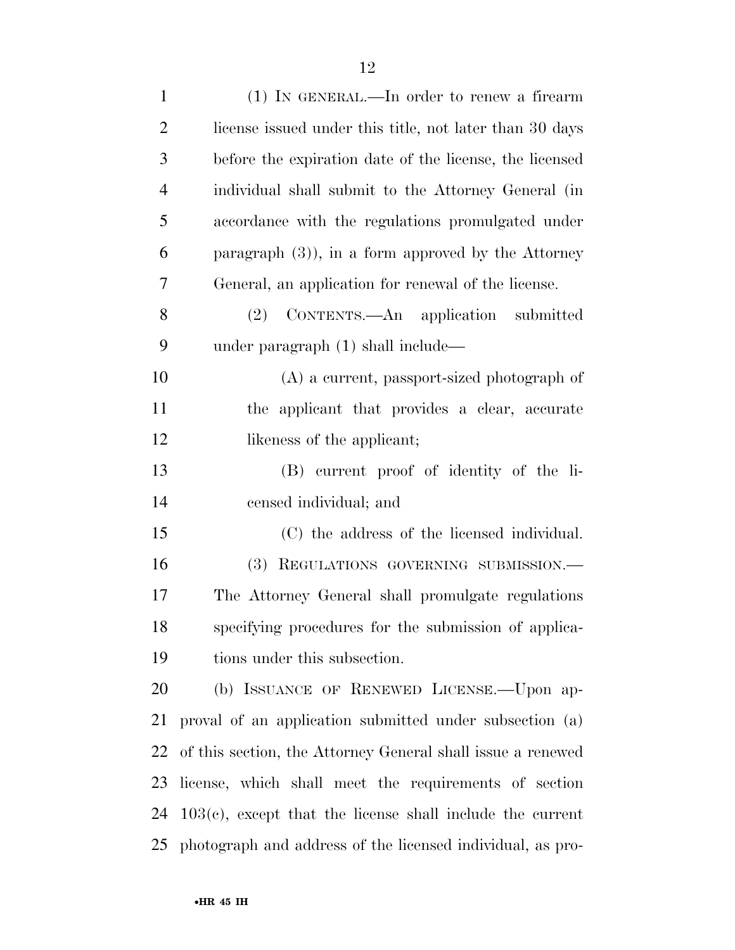| $\mathbf{1}$   | $(1)$ IN GENERAL.—In order to renew a firearm                         |
|----------------|-----------------------------------------------------------------------|
| $\overline{2}$ | license issued under this title, not later than 30 days               |
| 3              | before the expiration date of the license, the licensed               |
| $\overline{4}$ | individual shall submit to the Attorney General (in                   |
| 5              | accordance with the regulations promulgated under                     |
| 6              | paragraph $(3)$ , in a form approved by the Attorney                  |
| 7              | General, an application for renewal of the license.                   |
| 8              | (2) CONTENTS.—An application submitted                                |
| 9              | under paragraph $(1)$ shall include—                                  |
| 10             | $(A)$ a current, passport-sized photograph of                         |
| 11             | the applicant that provides a clear, accurate                         |
| 12             | likeness of the applicant;                                            |
| 13             | (B) current proof of identity of the li-                              |
| 14             | censed individual; and                                                |
| 15             | (C) the address of the licensed individual.                           |
| 16             | (3)<br>REGULATIONS GOVERNING SUBMISSION.-                             |
| 17             | The Attorney General shall promulgate regulations                     |
| 18             | specifying procedures for the submission of applica-                  |
| 19             | tions under this subsection.                                          |
| 20             | (b) ISSUANCE OF RENEWED LICENSE.—Upon ap-                             |
| 21             | proval of an application submitted under subsection (a)               |
| 22             | of this section, the Attorney General shall issue a renewed           |
| 23             | license, which shall meet the requirements of section                 |
|                | $24 \quad 103(c)$ , except that the license shall include the current |
|                | 25 photograph and address of the licensed individual, as pro-         |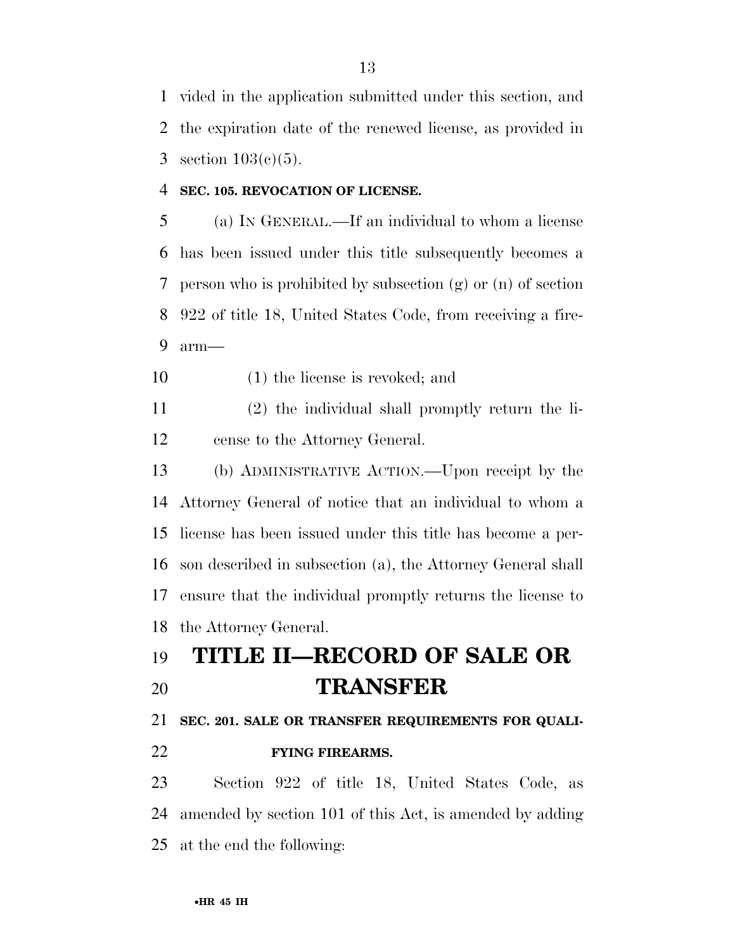vided in the application submitted under this section, and the expiration date of the renewed license, as provided in 3 section  $103(c)(5)$ .

### **SEC. 105. REVOCATION OF LICENSE.**

 (a) IN GENERAL.—If an individual to whom a license has been issued under this title subsequently becomes a person who is prohibited by subsection (g) or (n) of section 922 of title 18, United States Code, from receiving a fire-arm—

(1) the license is revoked; and

 (2) the individual shall promptly return the li-cense to the Attorney General.

 (b) ADMINISTRATIVE ACTION.—Upon receipt by the Attorney General of notice that an individual to whom a license has been issued under this title has become a per- son described in subsection (a), the Attorney General shall ensure that the individual promptly returns the license to the Attorney General.

# **TITLE II—RECORD OF SALE OR TRANSFER**

**SEC. 201. SALE OR TRANSFER REQUIREMENTS FOR QUALI-**

**FYING FIREARMS.** 

 Section 922 of title 18, United States Code, as amended by section 101 of this Act, is amended by adding at the end the following: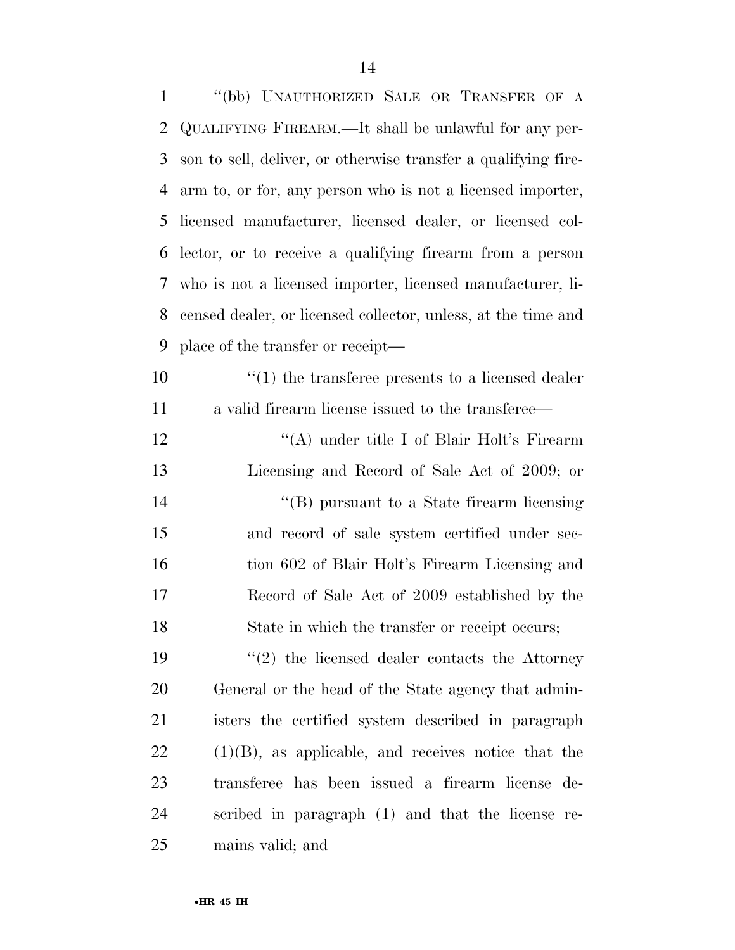| $\mathbf{1}$ | "(bb) UNAUTHORIZED SALE OR TRANSFER OF A                       |
|--------------|----------------------------------------------------------------|
| 2            | QUALIFYING FIREARM.—It shall be unlawful for any per-          |
| 3            | son to sell, deliver, or otherwise transfer a qualifying fire- |
| 4            | arm to, or for, any person who is not a licensed importer,     |
| 5            | licensed manufacturer, licensed dealer, or licensed col-       |
| 6            | lector, or to receive a qualifying firearm from a person       |
| 7            | who is not a licensed importer, licensed manufacturer, li-     |
| 8            | censed dealer, or licensed collector, unless, at the time and  |
| 9            | place of the transfer or receipt—                              |
| 10           | $\cdot$ (1) the transferee presents to a licensed dealer       |
| 11           | a valid firearm license issued to the transferee—              |
| 12           | "(A) under title I of Blair Holt's Firearm                     |
| 13           | Licensing and Record of Sale Act of 2009; or                   |
| 14           | $\lq\lq$ (B) pursuant to a State firearm licensing             |
| 15           | and record of sale system certified under sec-                 |
| 16           | tion 602 of Blair Holt's Firearm Licensing and                 |
| 17           | Record of Sale Act of 2009 established by the                  |
| 18           | State in which the transfer or receipt occurs;                 |
| 19           | $\lq(2)$ the licensed dealer contacts the Attorney             |
| 20           | General or the head of the State agency that admin-            |
| 21           | isters the certified system described in paragraph             |
| <u>22</u>    | $(1)(B)$ , as applicable, and receives notice that the         |
| 23           | transferee has been issued a firearm license de-               |
| 24           | scribed in paragraph (1) and that the license re-              |
| 25           | mains valid; and                                               |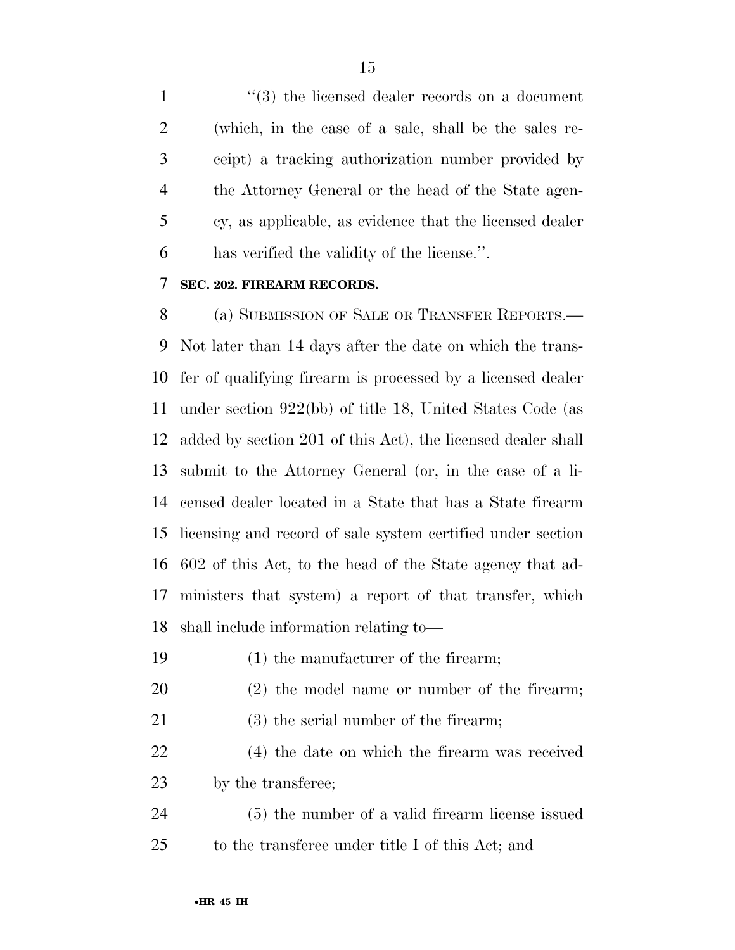1 ''(3) the licensed dealer records on a document (which, in the case of a sale, shall be the sales re- ceipt) a tracking authorization number provided by the Attorney General or the head of the State agen- cy, as applicable, as evidence that the licensed dealer has verified the validity of the license.''.

### **SEC. 202. FIREARM RECORDS.**

 (a) SUBMISSION OF SALE OR TRANSFER REPORTS.— Not later than 14 days after the date on which the trans- fer of qualifying firearm is processed by a licensed dealer under section 922(bb) of title 18, United States Code (as added by section 201 of this Act), the licensed dealer shall submit to the Attorney General (or, in the case of a li- censed dealer located in a State that has a State firearm licensing and record of sale system certified under section 602 of this Act, to the head of the State agency that ad- ministers that system) a report of that transfer, which shall include information relating to—

- (1) the manufacturer of the firearm;
- (2) the model name or number of the firearm;
- (3) the serial number of the firearm;
- (4) the date on which the firearm was received by the transferee;

 (5) the number of a valid firearm license issued to the transferee under title I of this Act; and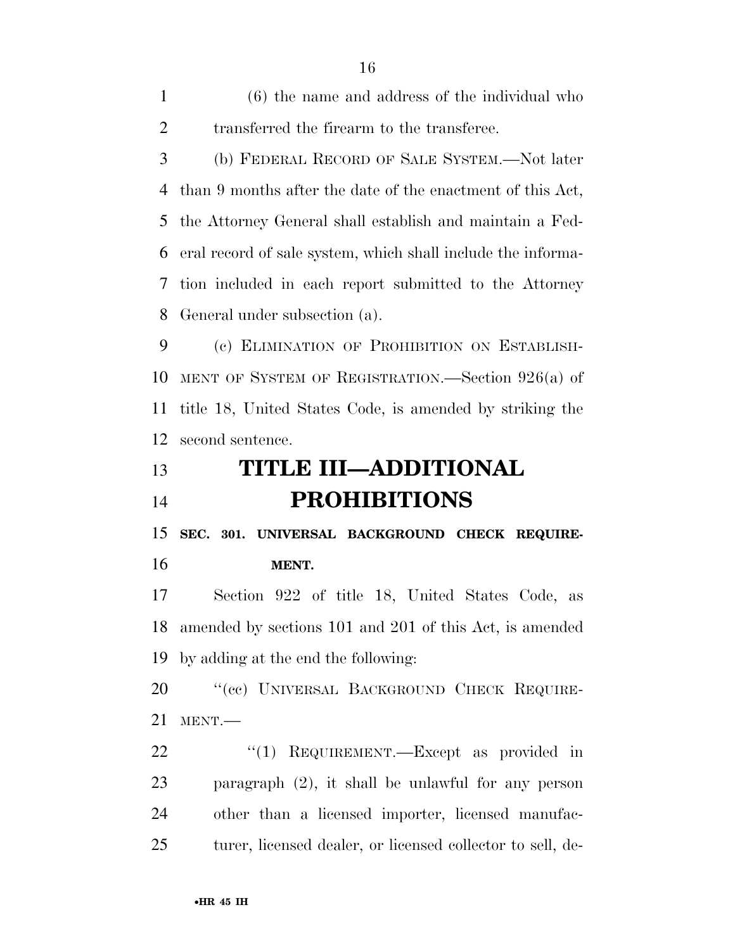(6) the name and address of the individual who 2 transferred the firearm to the transferee.

 (b) FEDERAL RECORD OF SALE SYSTEM.—Not later than 9 months after the date of the enactment of this Act, the Attorney General shall establish and maintain a Fed- eral record of sale system, which shall include the informa- tion included in each report submitted to the Attorney General under subsection (a).

 (c) ELIMINATION OF PROHIBITION ON ESTABLISH- MENT OF SYSTEM OF REGISTRATION.—Section 926(a) of title 18, United States Code, is amended by striking the second sentence.

# **TITLE III—ADDITIONAL PROHIBITIONS**

 **SEC. 301. UNIVERSAL BACKGROUND CHECK REQUIRE-MENT.** 

 Section 922 of title 18, United States Code, as amended by sections 101 and 201 of this Act, is amended by adding at the end the following:

20 "(cc) UNIVERSAL BACKGROUND CHECK REQUIRE-MENT.—

22 "(1) REQUIREMENT.—Except as provided in paragraph (2), it shall be unlawful for any person other than a licensed importer, licensed manufac-turer, licensed dealer, or licensed collector to sell, de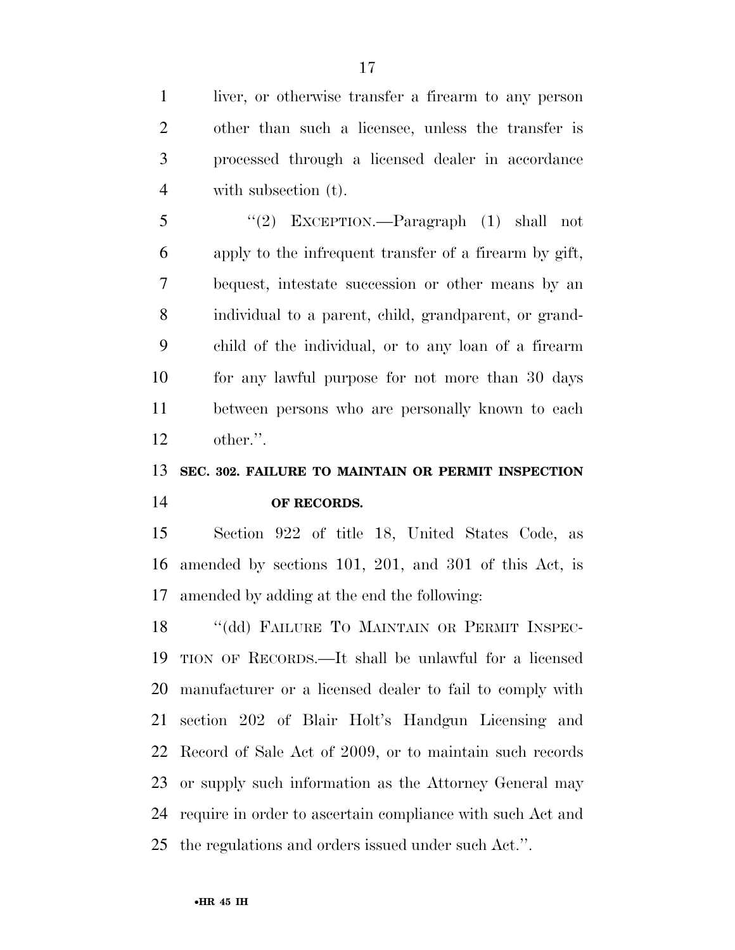liver, or otherwise transfer a firearm to any person other than such a licensee, unless the transfer is processed through a licensed dealer in accordance with subsection (t).

 ''(2) EXCEPTION.—Paragraph (1) shall not apply to the infrequent transfer of a firearm by gift, bequest, intestate succession or other means by an individual to a parent, child, grandparent, or grand- child of the individual, or to any loan of a firearm for any lawful purpose for not more than 30 days between persons who are personally known to each other.''.

## **SEC. 302. FAILURE TO MAINTAIN OR PERMIT INSPECTION OF RECORDS.**

 Section 922 of title 18, United States Code, as amended by sections 101, 201, and 301 of this Act, is amended by adding at the end the following:

18 "(dd) FAILURE TO MAINTAIN OR PERMIT INSPEC- TION OF RECORDS.—It shall be unlawful for a licensed manufacturer or a licensed dealer to fail to comply with section 202 of Blair Holt's Handgun Licensing and Record of Sale Act of 2009, or to maintain such records or supply such information as the Attorney General may require in order to ascertain compliance with such Act and the regulations and orders issued under such Act.''.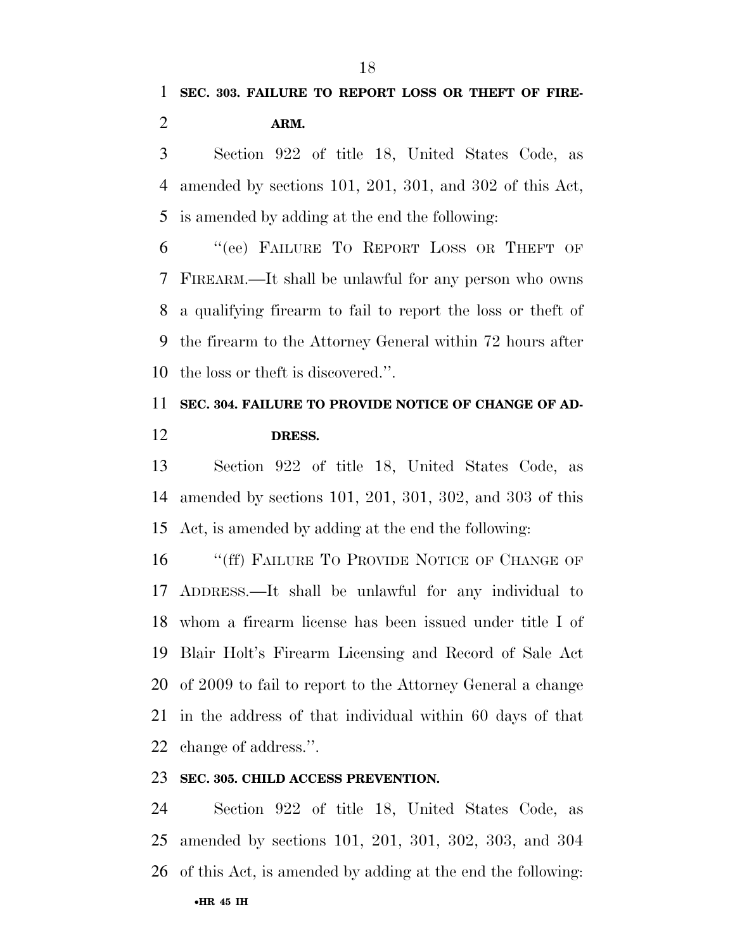Section 922 of title 18, United States Code, as amended by sections 101, 201, 301, and 302 of this Act, is amended by adding at the end the following:

 ''(ee) FAILURE TO REPORT LOSS OR THEFT OF FIREARM.—It shall be unlawful for any person who owns a qualifying firearm to fail to report the loss or theft of the firearm to the Attorney General within 72 hours after the loss or theft is discovered.''.

## **SEC. 304. FAILURE TO PROVIDE NOTICE OF CHANGE OF AD-DRESS.**

 Section 922 of title 18, United States Code, as amended by sections 101, 201, 301, 302, and 303 of this Act, is amended by adding at the end the following:

16 "(ff) FAILURE TO PROVIDE NOTICE OF CHANGE OF ADDRESS.—It shall be unlawful for any individual to whom a firearm license has been issued under title I of Blair Holt's Firearm Licensing and Record of Sale Act of 2009 to fail to report to the Attorney General a change in the address of that individual within 60 days of that change of address.''.

### **SEC. 305. CHILD ACCESS PREVENTION.**

 Section 922 of title 18, United States Code, as amended by sections 101, 201, 301, 302, 303, and 304 of this Act, is amended by adding at the end the following: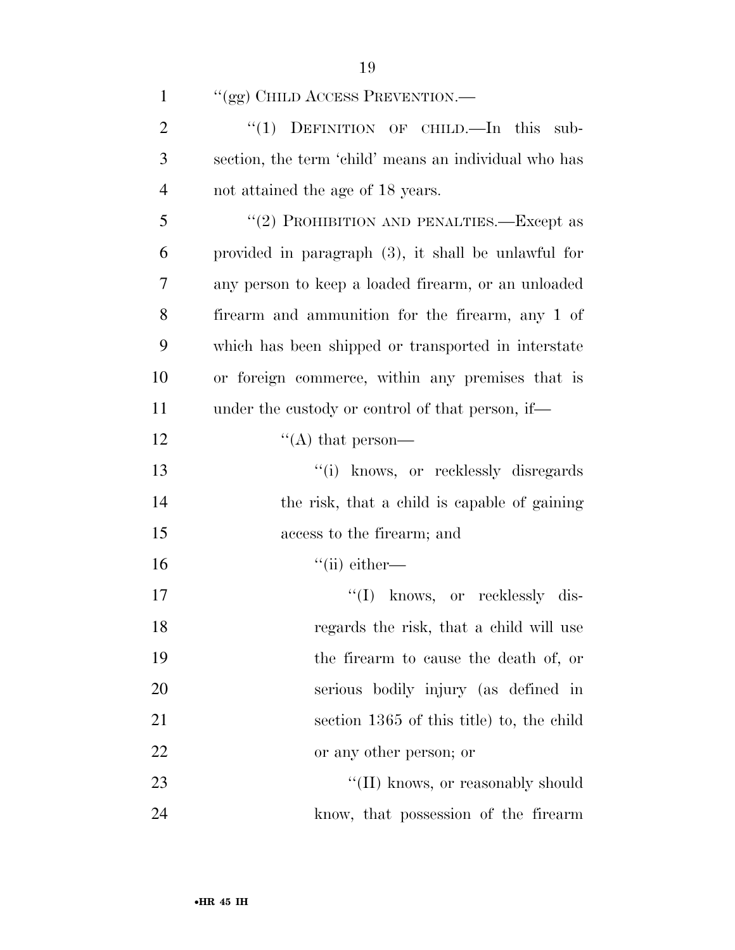| $\mathbf{1}$   | "(gg) CHILD ACCESS PREVENTION.—                        |
|----------------|--------------------------------------------------------|
| $\overline{2}$ | " $(1)$ DEFINITION OF CHILD.—In this sub-              |
| 3              | section, the term 'child' means an individual who has  |
| $\overline{4}$ | not attained the age of 18 years.                      |
| 5              | "(2) PROHIBITION AND PENALTIES.—Except as              |
| 6              | provided in paragraph $(3)$ , it shall be unlawful for |
| 7              | any person to keep a loaded firearm, or an unloaded    |
| 8              | firearm and ammunition for the firearm, any 1 of       |
| 9              | which has been shipped or transported in interstate    |
| 10             | or foreign commerce, within any premises that is       |
| 11             | under the custody or control of that person, if—       |
| 12             | "(A) that person—                                      |
| 13             | "(i) knows, or recklessly disregards                   |
| 14             | the risk, that a child is capable of gaining           |
| 15             | access to the firearm; and                             |
| 16             | $``$ (ii) either—                                      |
| 17             | "(I) knows, or recklessly dis-                         |
| 18             | regards the risk, that a child will use                |
| 19             | the firearm to cause the death of, or                  |
| 20             | serious bodily injury (as defined in                   |
| 21             | section 1365 of this title) to, the child              |
| 22             | or any other person; or                                |
| 23             | "(II) knows, or reasonably should                      |

know, that possession of the firearm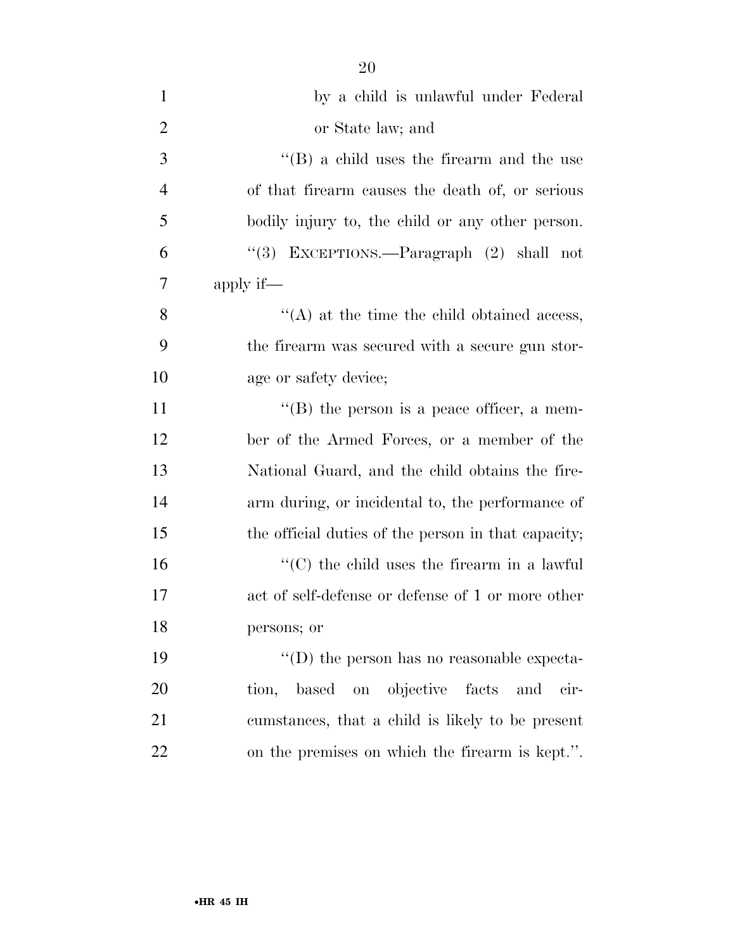| $\mathbf{1}$   | by a child is unlawful under Federal                |
|----------------|-----------------------------------------------------|
| $\overline{2}$ | or State law; and                                   |
| 3              | $\lq\lq (B)$ a child uses the firearm and the use   |
| $\overline{4}$ | of that firearm causes the death of, or serious     |
| 5              | bodily injury to, the child or any other person.    |
| 6              | "(3) EXCEPTIONS.—Paragraph (2) shall not            |
| $\overline{7}$ | apply if—                                           |
| 8              | $\lq\lq$ at the time the child obtained access,     |
| 9              | the firearm was secured with a secure gun stor-     |
| 10             | age or safety device;                               |
| 11             | $\lq\lq$ (B) the person is a peace officer, a mem-  |
| 12             | ber of the Armed Forces, or a member of the         |
| 13             | National Guard, and the child obtains the fire-     |
| 14             | arm during, or incidental to, the performance of    |
| 15             | the official duties of the person in that capacity; |
| 16             | $\lq\lq$ (C) the child uses the firearm in a lawful |
|                |                                                     |

 act of self-defense or defense of 1 or more other persons; or  $''(D)$  the person has no reasonable expecta-tion, based on objective facts and cir-

 cumstances, that a child is likely to be present on the premises on which the firearm is kept.''.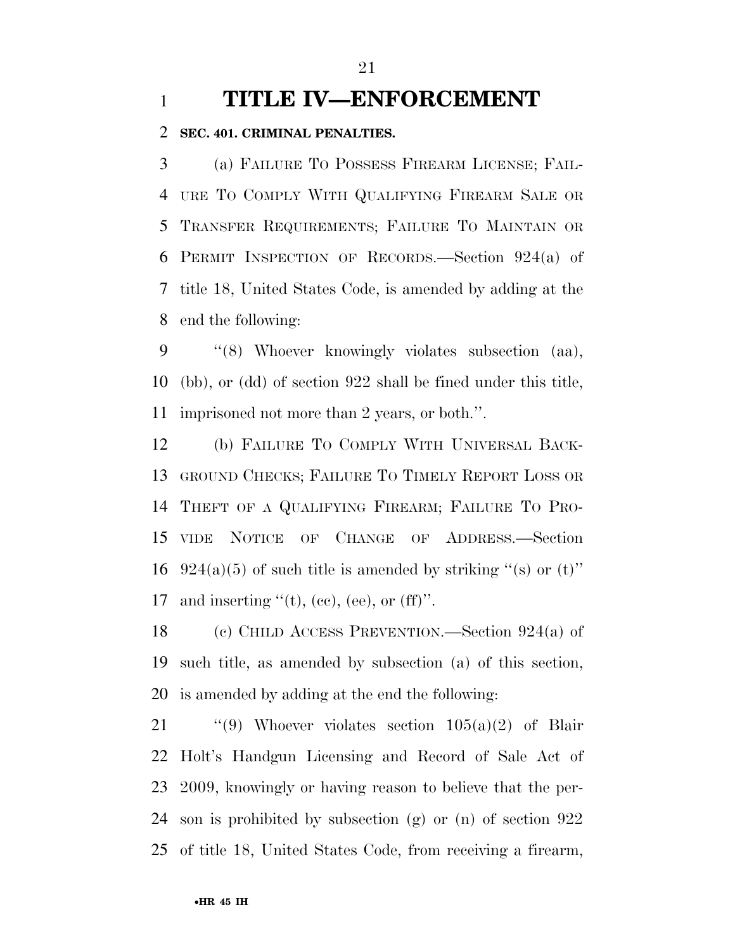## **TITLE IV—ENFORCEMENT**

### **SEC. 401. CRIMINAL PENALTIES.**

 (a) FAILURE TO POSSESS FIREARM LICENSE; FAIL- URE TO COMPLY WITH QUALIFYING FIREARM SALE OR TRANSFER REQUIREMENTS; FAILURE TO MAINTAIN OR PERMIT INSPECTION OF RECORDS.—Section 924(a) of title 18, United States Code, is amended by adding at the end the following:

 ''(8) Whoever knowingly violates subsection (aa), (bb), or (dd) of section 922 shall be fined under this title, imprisoned not more than 2 years, or both.''.

 (b) FAILURE TO COMPLY WITH UNIVERSAL BACK- GROUND CHECKS; FAILURE TO TIMELY REPORT LOSS OR THEFT OF A QUALIFYING FIREARM; FAILURE TO PRO- VIDE NOTICE OF CHANGE OF ADDRESS.—Section 16 924(a)(5) of such title is amended by striking "(s) or (t)" 17 and inserting  $f(t)$ , (ee), (ee), or (ff)".

 (c) CHILD ACCESS PREVENTION.—Section 924(a) of such title, as amended by subsection (a) of this section, is amended by adding at the end the following:

 $\qquad$  ''(9) Whoever violates section 105(a)(2) of Blair Holt's Handgun Licensing and Record of Sale Act of 2009, knowingly or having reason to believe that the per- son is prohibited by subsection (g) or (n) of section 922 of title 18, United States Code, from receiving a firearm,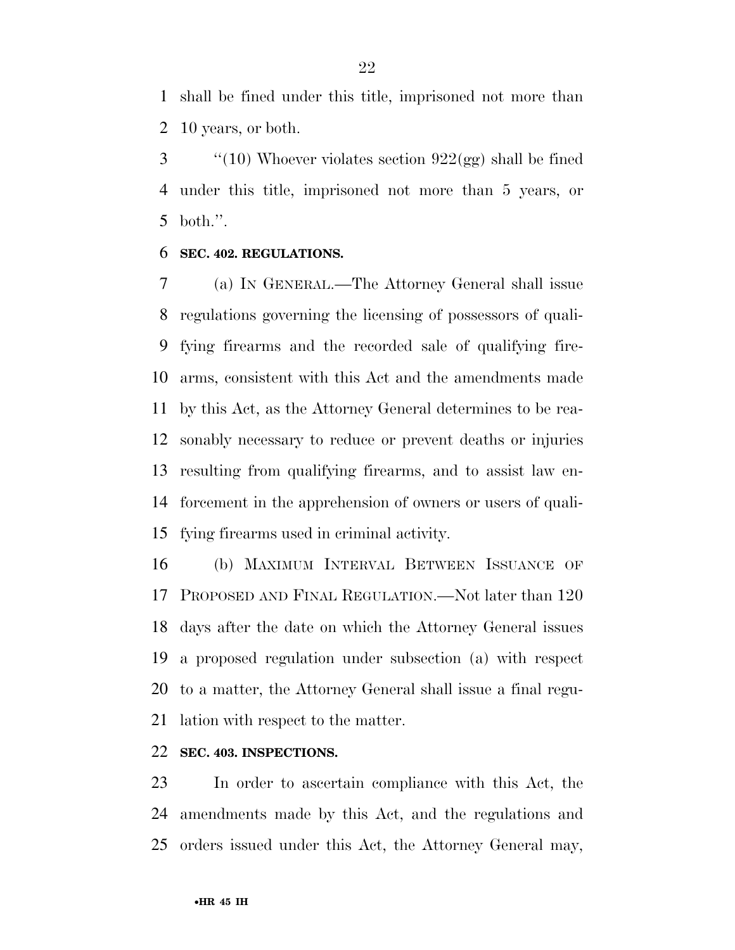shall be fined under this title, imprisoned not more than 10 years, or both.

 ''(10) Whoever violates section  $922(gg)$  shall be fined under this title, imprisoned not more than 5 years, or both.''.

### **SEC. 402. REGULATIONS.**

 (a) IN GENERAL.—The Attorney General shall issue regulations governing the licensing of possessors of quali- fying firearms and the recorded sale of qualifying fire- arms, consistent with this Act and the amendments made by this Act, as the Attorney General determines to be rea- sonably necessary to reduce or prevent deaths or injuries resulting from qualifying firearms, and to assist law en- forcement in the apprehension of owners or users of quali-fying firearms used in criminal activity.

 (b) MAXIMUM INTERVAL BETWEEN ISSUANCE OF PROPOSED AND FINAL REGULATION.—Not later than 120 days after the date on which the Attorney General issues a proposed regulation under subsection (a) with respect to a matter, the Attorney General shall issue a final regu-lation with respect to the matter.

### **SEC. 403. INSPECTIONS.**

 In order to ascertain compliance with this Act, the amendments made by this Act, and the regulations and orders issued under this Act, the Attorney General may,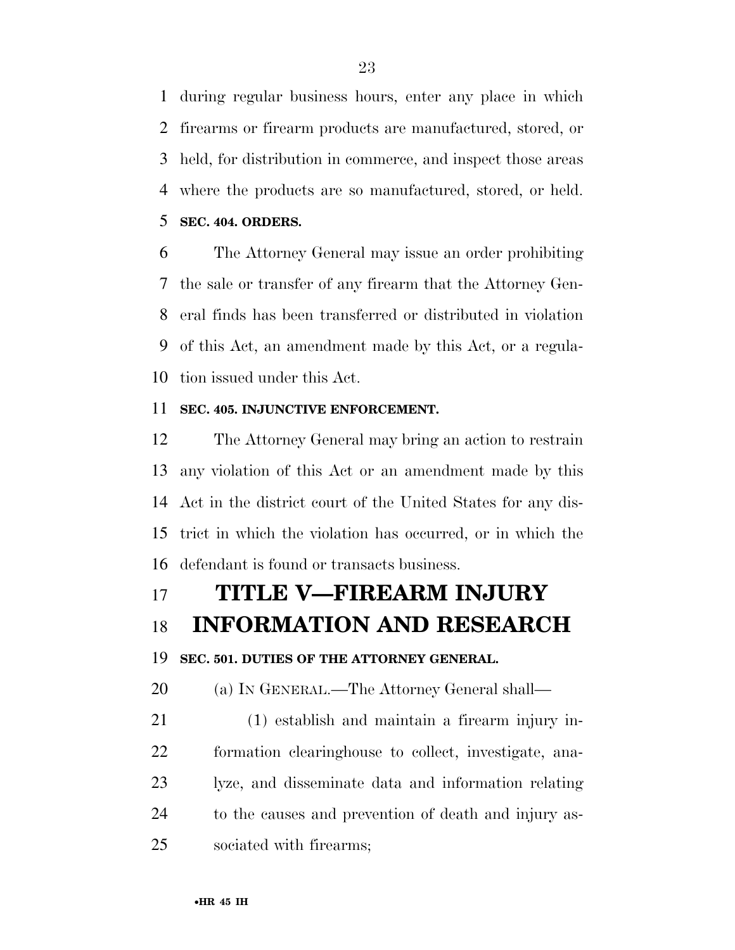during regular business hours, enter any place in which firearms or firearm products are manufactured, stored, or held, for distribution in commerce, and inspect those areas where the products are so manufactured, stored, or held.

**SEC. 404. ORDERS.** 

 The Attorney General may issue an order prohibiting the sale or transfer of any firearm that the Attorney Gen- eral finds has been transferred or distributed in violation of this Act, an amendment made by this Act, or a regula-tion issued under this Act.

### **SEC. 405. INJUNCTIVE ENFORCEMENT.**

 The Attorney General may bring an action to restrain any violation of this Act or an amendment made by this Act in the district court of the United States for any dis- trict in which the violation has occurred, or in which the defendant is found or transacts business.

## **TITLE V—FIREARM INJURY**

## **INFORMATION AND RESEARCH**

### **SEC. 501. DUTIES OF THE ATTORNEY GENERAL.**

(a) IN GENERAL.—The Attorney General shall—

 (1) establish and maintain a firearm injury in- formation clearinghouse to collect, investigate, ana- lyze, and disseminate data and information relating to the causes and prevention of death and injury as-sociated with firearms;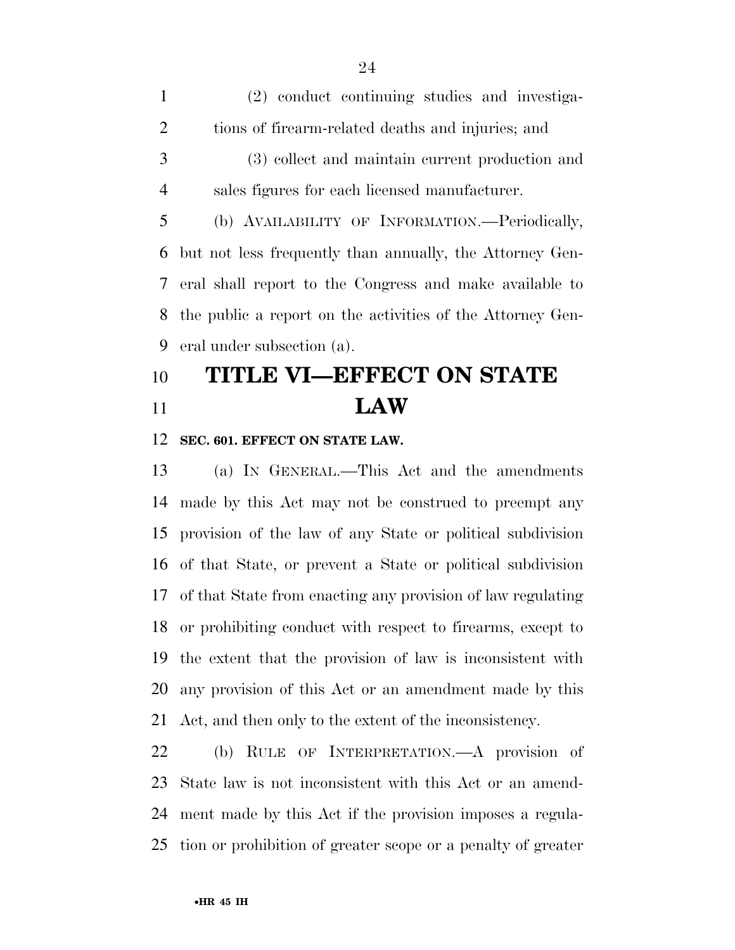(2) conduct continuing studies and investiga- tions of firearm-related deaths and injuries; and (3) collect and maintain current production and sales figures for each licensed manufacturer. (b) AVAILABILITY OF INFORMATION.—Periodically, but not less frequently than annually, the Attorney Gen- eral shall report to the Congress and make available to the public a report on the activities of the Attorney Gen-eral under subsection (a).

# **TITLE VI—EFFECT ON STATE LAW**

### **SEC. 601. EFFECT ON STATE LAW.**

 (a) IN GENERAL.—This Act and the amendments made by this Act may not be construed to preempt any provision of the law of any State or political subdivision of that State, or prevent a State or political subdivision of that State from enacting any provision of law regulating or prohibiting conduct with respect to firearms, except to the extent that the provision of law is inconsistent with any provision of this Act or an amendment made by this Act, and then only to the extent of the inconsistency.

 (b) RULE OF INTERPRETATION.—A provision of State law is not inconsistent with this Act or an amend- ment made by this Act if the provision imposes a regula-tion or prohibition of greater scope or a penalty of greater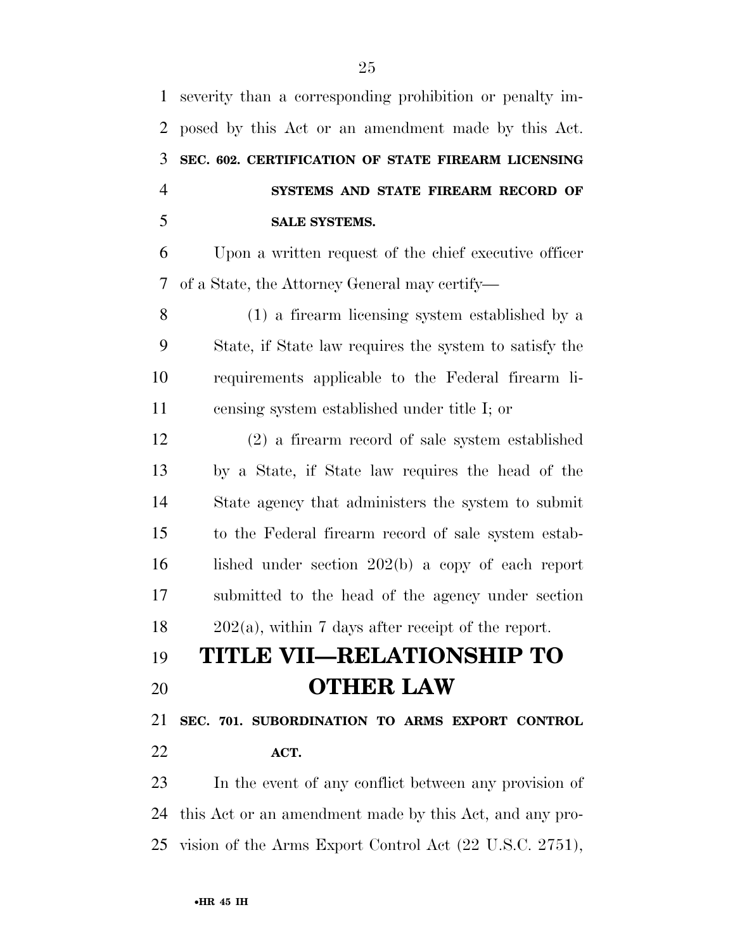severity than a corresponding prohibition or penalty im- posed by this Act or an amendment made by this Act. **SEC. 602. CERTIFICATION OF STATE FIREARM LICENSING SYSTEMS AND STATE FIREARM RECORD OF SALE SYSTEMS.** 

 Upon a written request of the chief executive officer of a State, the Attorney General may certify—

 (1) a firearm licensing system established by a State, if State law requires the system to satisfy the requirements applicable to the Federal firearm li-censing system established under title I; or

 (2) a firearm record of sale system established by a State, if State law requires the head of the State agency that administers the system to submit to the Federal firearm record of sale system estab- lished under section 202(b) a copy of each report submitted to the head of the agency under section 202(a), within 7 days after receipt of the report.

# **TITLE VII—RELATIONSHIP TO OTHER LAW**

 **SEC. 701. SUBORDINATION TO ARMS EXPORT CONTROL ACT.** 

 In the event of any conflict between any provision of this Act or an amendment made by this Act, and any pro-vision of the Arms Export Control Act (22 U.S.C. 2751),